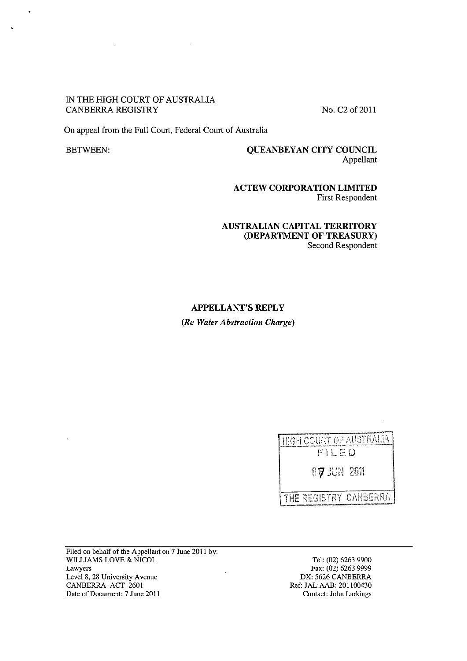### IN THE HIGH COURT OF AUSTRALIA CANBERRA REGISTRY No. C2 of 2011

 $\mathcal{L}_{\mathcal{A}}$ 

On appeal from the Full Court, Federal Court of Australia

 $\ddot{\phantom{0}}$ 

 $\ddot{\phantom{0}}$ 

# BETWEEN: QUEANBEYAN CITY COUNCIL Appellant

ACTEW CORPORATION LIMITED First Respondent

### AUSTRALIAN CAPITAL TERRITORY (DEPARTMENT OF TREASURY) Second Respondent

### APPELLANT'S REPLY

*(Re Water Abstraction Charge)* 

 $\sim$ 

| HIGH COURT OF AUSTRALIA        |
|--------------------------------|
| FILED                          |
| 67 IUN 2011                    |
| <b>I THE REGISTRY CANBERRA</b> |

Filed on behalf of the Appellant on 7 June 2011 by: WILLIAMS LOVE & NICOL Lawyers Level 8, 28 University Avenue CANBERRA ACT 2601 Date of Document: 7 June 2011

Tel: (02) 6263 9900 Fax: (02) 6263 9999 DX: 5626 CANBERRA Ref: JAL:AAB: 201100430 Contact: John Larkings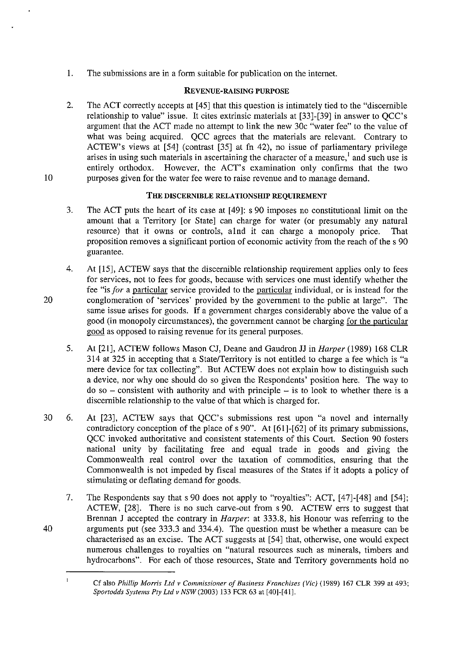1. The submissions are in a form suitable for publication on the internet.

# **REVENUE-RAISING PURPOSE**

2. The ACT correctly accepts at [45] that this question is intimately tied to the "discernible relationship to value" issue. It cites extrinsic materials at [33]-[39] in answer to QCC's argument that the ACT made no attempt to link the new 30c "water fee" to the value of what was being acquired. OCC agrees that the materials are relevant. Contrary to ACTEW's views at [54] (contrast [35] at fn 42), no issue of parliamentary privilege arises in using such materials in ascertaining the character of a measure,  $\frac{1}{2}$  and such use is entirely orthodox. However, the ACT's examination only confirms that the two purposes given for the water fee were to raise revenue and to manage demand.

# **THE DISCERNIBLE RELATIONSHIP REQUIREMENT**

- 3. The ACT puts the heart of its case at [49]: s 90 imposes no constitutional limit on the amount that a Territory [or State] can charge for water (or presumably any natural resource) that it owns or controls, alnd it can charge a monopoly price. That proposition removes a significant portion of economic activity from the reach of the s 90 guarantee.
- 4. At [15], ACTEW says that the discernible relationship requirement applies only to fees for services, not to fees for goods, because with services one must identify whether the fee "is *for* a particular service provided to the particular individual, or is instead for the conglomeration of 'services' provided by the government to the public at large". The same issue arises for goods. **If** a government charges considerably above the value of a good (in monopoly circumstances), the government cannot be charging for the particular good as opposed to raising revenue for its general purposes.
- 5. At [21], ACTEW follows Mason CJ, Deane and Gaudron JJ in *Harper* (1989) 168 CLR 314 at 325 in accepting that a State/Territory is not entitled to charge a fee which is "a mere device for tax collecting". But ACTEW does not explain how to distinguish such a device, nor why one should do so given the Respondents' position here. The way to  $\phi$  do so – consistent with authority and with principle – is to look to whether there is a discernible relationship to the value of that which is charged for.
- 30 6. At [23], ACTEW says that QCC's submissions rest upon "a novel and internally contradictory conception of the place of s 90". At [61]-[62] of its primary submissions, QCC invoked authoritative and consistent statements of this Court. Section 90 fosters national unity by facilitating free and equal trade in goods and giving the Commonwealth real control over the taxation of commodities, ensuring that the Commonwealth is not impeded by fiscal measures of the States if it adopts a policy of stimulating or deflating demand for goods.

7. The Respondents say that s 90 does not apply to "royalties": ACT, [47]-[48] and [54]; ACTEW, [28]. There is no such carve-out from s 90. ACTEW errs to suggest that Brennan J accepted the contrary in *Harper:* at 333.8, his Honour was referring to the 40 arguments put (see 333.3 and 334.4). The question must be whether a measure can be characterised as an excise. The ACT suggests at [54] that, otherwise, one would expect numerous challenges to royalties on "natural resources such as minerals, timbers and hydrocarbons". For each of those resources, State and Territory governments hold no

10

20

 $\mathbf{1}$ 

Cf also *Phillip Morris Ltd v Commissioner of Business Franchises (Vie)* (1989) 167 CLR 399 at 493; *Sportodds Systems Pty Ltd v NSW* (2003) 133 FCR 63 at [40]-[41].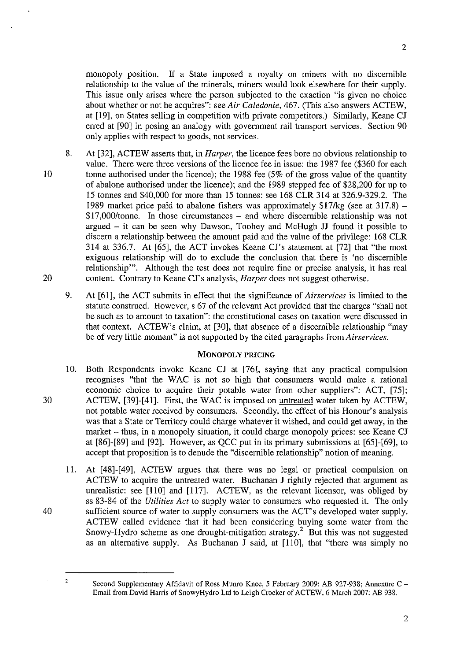2

monopoly position. If a State imposed a royalty on miners with no discernible relationship to the value of the minerals, miners would look elsewhere for their supply. This issue only arises where the person subjected to the exaction "is given no choice about whether or not he acquires": see *Air Caledonie,* 467. (This also answers ACTEW, at [19], on States selling in competition with private competitors.) Similarly, Keane CJ erred at [90] in posing an analogy with government rail transport services. Section 90 only applies with respect to goods, not services.

- 10 8. At [32], ACTEW asserts that, in *Harper,* the licence fees bore no obvious relationship to value. There were three versions of the licence fee in issue: the 1987 fee (\$360 for each tonne authorised under the licence); the 1988 fee (5% of the gross value of the quantity of abalone authorised under the licence); and the 1989 stepped fee of \$28,200 for up to 15 tonnes and \$40,000 for more than 15 tonnes: see 168 CLR 314 at 326.9-329.2. The 1989 market price paid to abalone fishers was approximately  $$17/kg$  (see at 317.8) -\$17,000/tonne. In those circumstances - and where discernible relationship was not argued - it can be seen why Dawson, Toohey and McHugh JJ found it possible to discern a relationship between the amount paid and the value of the privilege: 168 CLR 314 at 336.7. At [65], the ACT invokes Keane Cl's statement at [72] that "the most exiguous relationship will do to exclude the conclusion that there is 'no discernible relationship"'. Although the test does not require fine or precise analysis, it has real content. Contrary to Keane Cl's analysis, *Harper* does not suggest otherwise.
	- 9. At [61], the ACT submits in effect that the significance of *Airservices* is limited to the statute construed. However, s 67 of the relevant Act provided that the charges "shall not be such as to amount to taxation": the constitutional cases on taxation were discussed in that context. ACTEW's claim, at [30], that absence of a discernible relationship "may be of very little moment" is not supported by the cited paragraphs from *Airservices.*

# MONOPOLY PRICING

- 10. Both Respondents invoke Keane CJ at [76], saying that any practical compulsion recognises "that the WAC is not so high that consumers would make a rational economic choice to acquire their potable water from other suppliers": ACT, [75]; 30 ACTEW, [39]-[41]. First, the WAC is imposed on untreated water taken by ACTEW, not potable water received by consumers. Secondly, the effect of his Honour's analysis was that a State or Territory could charge whatever it wished, and could get away, in the market – thus, in a monopoly situation, it could charge monopoly prices: see Keane CJ at [86]-[89] and [92]. However, as QCC put in its primary submissions at [65]-[69], to accept that proposition is to denude the "discernible relationship" notion of meaning.
- 11. At [48]-[49], ACTEW argues that there was no legal or practical compulsion on ACTEW to acquire the untreated water. Buchanan J rightly rejected that argument as unrealistic: see [110] and [117]. ACTEW, as the relevant licensor, was obliged by ss 83-84 of the *Utilities Act* to supply water to consumers who requested it. The only 40 sufficient source of water to supply consumers was the ACT's developed water supply. ACTEW called evidence that it had been considering buying some water from the Snowy-Hydro scheme as one drought-mitigation strategy.<sup>2</sup> But this was not suggested as an alternative supply. As Buchanan J said, at [110], that "there was simply no

2

20

Second Supplementary Affidavit of Ross Munro Knee, 5 February 2009: AB 927-938; Annexure C -Email from David Harris of SnowyHydro Ltd to Leigh Crocker of ACTEW, 6 March 2007: AB 938.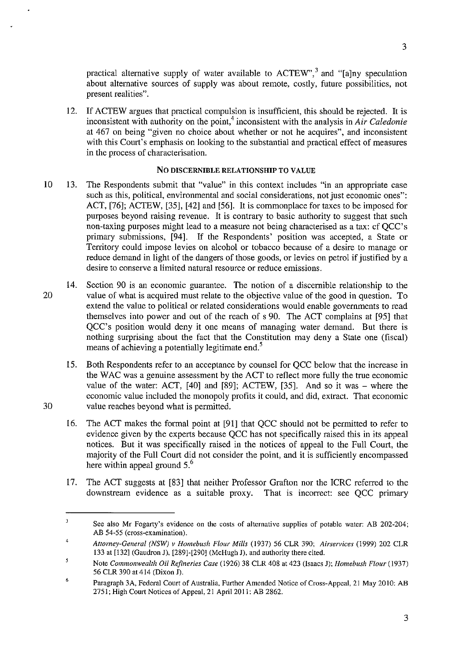practical alternative supply of water available to  $\text{ACTEW}^3$ , and "[a]ny speculation about alternative sources of supply was about remote, costly, future possibilities, not present realities".

12. If ACTEW argues that practical compulsion is insufficient, this should be rejected. It is inconsistent with authority on the point,<sup>4</sup> inconsistent with the analysis in *Air Caledonie* at 467 on being "given no choice about whether or not he acquires", and inconsistent with this Court's emphasis on looking to the substantial and practical effect of measures in the process of characterisation.

# No DISCERNIBLE RELATIONSHIP TO VALUE

- 10 13. The Respondents submit that "value" in this context includes "in an appropriate case such as this, political, environmental and social considerations, not just economic ones": ACT, [76]; ACTEW, [35], [42] and [56]. It is commonplace for taxes to be imposed for purposes beyond raising revenue. It is contrary to basic authority to suggest that such non-taxing purposes might lead to a measure not being characterised as a tax: cf QCC's primary submissions, [94]. If the Respondents' position was accepted, a State or Territory could impose levies on alcohol or tobacco because of a desire to manage or reduce demand in light of the dangers of those goods, or levies on petrol if justified by a desire to conserve a limited natural resource or reduce emissions.
- 14. Section 90 is an economic guarantee. The notion of a discernible relationship to the 20 value of what is acquired must relate to the objective value of the good in question. To extend the value to political or related considerations would enable governments to read themselves into power and out of the reach of s 90. The ACT complains at [95] that QCC's position would deny it one means of managing water demand. But there is nothing surprising about the fact that the Constitution may deny a State one (fiscal) means of achieving a potentially legitimate end.<sup>5</sup>
- 15. Both Respondents refer to an acceptance by counsel for QCC below that the increase in the WAC was a genuine assessment by the ACT to reflect more fully the true economic value of the water: ACT, [40] and [89]; ACTEW, [35]. And so it was - where the economic value included the monopoly profits it could, and did, extract. That economic 30 value reaches beyond what is permitted.
	- 16. The ACT makes the formal point at [91] that QCC should not be permitted to refer to evidence given by the experts because QCC has not specifically raised this in its appeal notices. But it was specifically raised in the notices of appeal to the Full Court, the majority of the Full Court did not consider the point, and it is sufficiently encompassed here within appeal ground  $5<sup>6</sup>$
	- 17. The ACT suggests at [83] that neither Professor Grafton nor the ICRC referred to the downstream evidence as a suitable proxy. That is incorrect: see QCC primary

3

 $\overline{\mathbf{3}}$ **See also Mr Fogarty's evidence on the costs of alternative supplies of potable water: AB 202-204;**  AB 54-55 (cross-examination).

<sup>4</sup>  *Attorney-General (NSW) v Homebush Flour Mills* (I937) 56 CLR 390; *Airservices* (1999) 202 CLR 133 at [132] (Gaudron J), [289]-[290] (McHugh J), and authority there cited.

<sup>5</sup> Note *Commonwealth Oil Refineries Case* (1926) 38 CLR 408 at 423 (Isaacs J); *Homebush Flour (1937)*  56 CLR 390 at 414 (Dixon J).

<sup>6</sup>  Paragraph 3A, Federal Court of Australia. Further Amended Notice of Cross-Appeal, 21 May 2010: AB 2751; High Court Notices of Appeal, 21 April 2011: AB 2862.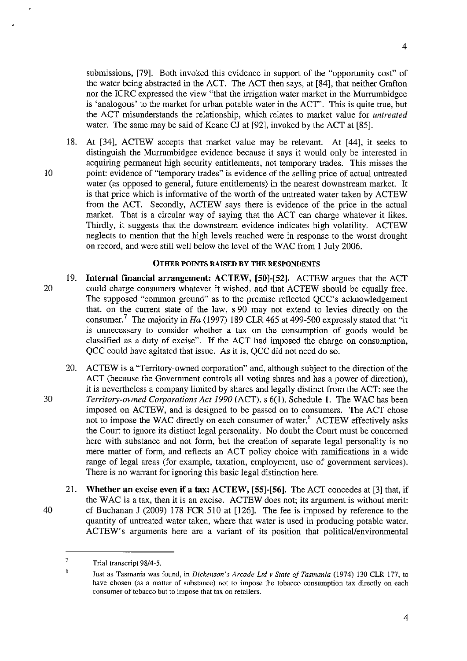submissions, [79]. Both invoked this evidence in support of the "opportunity cost" of the water being abstracted in the ACT. The ACT then says, at [84], that neither Grafton nor the ICRC expressed the view "that the irrigation water market in the Murrumbidgee is 'analogous' to the market for urban potable water in the ACT". This is quite true, but the ACT misunderstands the relationship, which relates to market value for *untreated*  water. The same may be said of Keane CJ at [92], invoked by the ACT at [85].

18. At [34], ACTEW accepts that market value may be relevant. At [44], it seeks to distinguish the Murrumbidgee evidence because it says it would only be interested in acquiring permanent high security entitlements, not temporary trades. This misses the 10 point: evidence of "temporary trades" is evidence of the selling price of actual untreated water (as opposed to general, future entitlements) in the nearest downstream market. It is that price which is informative of the worth of the untreated water taken by ACTEW from the ACT. Secondly, ACTEW says there is evidence of the price in the actual market. That is a circular way of saying that the ACT can charge whatever it likes. Thirdly, it suggests that the downstream evidence indicates high volatility. ACTEW neglects to mention that the high levels reached were in response to the worst drought on record, and were still well below the level of the WAC from 1 July 2006.

## OTHER POINTS RAISED BY THE RESPONDENTS

- 19. Internal financial arrangement: ACTEW, [50]-[52]. ACTEW argues that the ACT 20 could charge consumers whatever it wished, and that ACTEW should be equally free. The supposed "common ground" as to the premise reflected QCC's acknowledgement that, on the current state of the law, s 90 may not extend to levies directly on the consumer.<sup>7</sup> The majority in Ha (1997) 189 CLR 465 at 499-500 expressly stated that "it is unnecessary to consider whether a tax on the consumption of goods would be classified as a duty of excise". If the ACT had imposed the charge on consumption, QCC could have agitated that issue. As it is, QCC did not need do so.
- 20. ACTEW is a "Territory-owned corporation" and, although subject to the direction of the ACT (because the Government controls all voting shares and has a power of direction), it is nevertheless a company limited by shares and legally distinct from the ACT: see the *30 Territory-owned Corporations Act 1990* (ACT), s 6(1), Schedule 1. The WAC has been imposed on ACTEW, and is designed to be passed on to consumers. The ACT chose not to impose the WAC directly on each consumer of water.<sup>8</sup> ACTEW effectively asks the Court to ignore its distinct legal personality. No doubt the Court must be concerned here with substance and not form, but the creation of separate legal personality is no mere matter of form, and reflects an ACT policy choice with ramifications in a wide range of legal areas (for example, taxation, employment, use of government services). There is no warrant for ignoring this basic legal distinction here.
- 21. Whether an excise even if a tax: ACTEW, [55]-[56]. The ACT concedes at [3] that, if the W AC is a tax, then it is an excise. ACTEW does not; its argument is without merit: 40 cf Buchanan J (2009) 178 FCR 510 at [126]. The fee is imposed by reference to the quantity of untreated water taken, where that water is used in producing potable water. ACTEW's arguments here are a variant of its position that political/environmental

 $7$  Trial transcript 98/4-5.

 $\overline{8}$ Just as Tasmania was found, in *Dickensan's Arcade Ltd v State a/Tasmania* (1974) 130 CLR 177, to have chosen (as a matter of substance) not to impose the tobacco consumption tax directly on each consumer of tobacco but to impose that tax on retailers.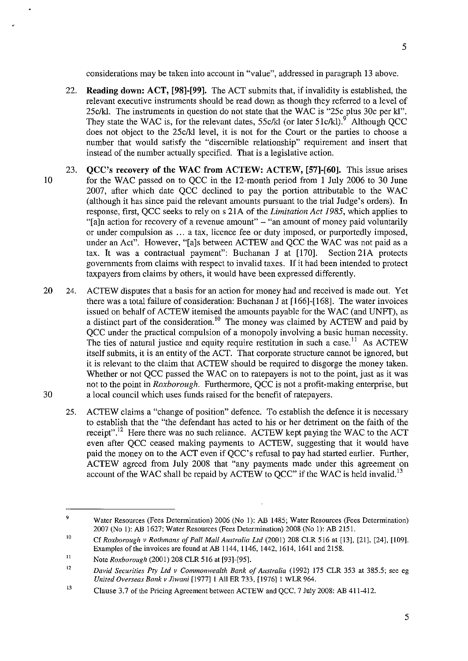- 22. Reading down: ACT, [98]-[99]. The ACT submits that, if invalidity is established, the relevant executive instruments should be read down as though they referred to a level of 25clkl. The instruments in question do not state that the WAC is "25c plus 30c per kl". They state the WAC is, for the relevant dates,  $55c/kl$  (or later  $51c/kl$ ).<sup>9</sup> Although OCC does not object to the 25c/kl level, it is not for the Court or the parties to choose a number that would satisfy the "discernible relationship" requirement and insert that instead of the number actually specified. That is a legislative action.
- 23. QCC's recovery of the WAC from ACTEW: ACTEW, [57]-[60]. This issue arises 10 for the WAC passed on to QCC in the 12-month period from I July 2006 to 30 June 2007, after which date QCC declined to pay the portion attributable to the WAC (although it has since paid the relevant amounts pursuant to the trial Judge's orders). In response, first, QCC seeks to rely on s 2lA of the *Limitation Act* 1985, which applies to "[a]n action for recovery of a revenue amount"  $-$  "an amount of money paid voluntarily or under compulsion as ... a tax, licence fee or duty imposed, or purportedly imposed, under an Act". However, "[a]s between ACTEW and QCC the WAC was not paid as a tax. It was a contractual payment": Buchanan J at [170]. Section 21A protects governments from claims with respect to invalid taxes. If it had been intended to protect taxpayers from claims by others, it would have been expressed differently.
- 20 24. ACTEW disputes that a basis for an action for money had and received is made out. Yet there was a total failure of consideration: Buchanan J at [166]-[168]. The water invoices issued on behalf of ACTEW itemised the amounts payable for the WAC (and UNFT), as a distinct part of the consideration.<sup>10</sup> The money was claimed by ACTEW and paid by QCC under the practical compulsion of a monopoly involving a basic human necessity. The ties of natural justice and equity require restitution in such a case.<sup>11</sup> As ACTEW itself submits, it is an entity of the ACT. That corporate structure cannot be ignored, but it is relevant to the claim that ACTEW should be required to disgorge the money taken. Whether or not QCC passed the WAC on to ratepayers is not to the point, just as it was not to the point in *Roxborough.* Furthermore, QCC is not a profit-making enterprise, but 30 a local council which uses funds raised for the benefit of ratepayers.
	- 25. ACTEW claims a "change of position" defence. To establish the defence it is necessary to establish that the "the defendant has acted to his or her detriment on the faith of the receipt".<sup>12</sup> Here there was no such reliance. ACTEW kept paying the WAC to the ACT even after QCC ceased making payments to ACTEW, suggesting that it would have paid the money on to the ACT even if QCC's refusal to pay had started earlier. Further, ACTEW agreed from July 2008 that "any payments made under this agreement on account of the WAC shall be repaid by ACTEW to QCC" if the WAC is held invalid.<sup>13</sup>

5

5

<sup>9</sup>  Water Resources (Fees Determination) 2006 (No 1): AB 1485; Water Resources (Fees Determination) 2007 (No 1): AB 1627; Water Resources (Fees Determination) 2008 (No I): AB 2151.

<sup>10</sup>  Cf *Roxborough v Rothmans of Pall Mall Australia Ltd* (2001) 208 CLR 516 at [13], [21], [24], [109]. Examples of the invoices are found at AB 1144. 1146. 1442. 1614. 1641 and 2158.

<sup>11</sup>  Note *Roxborough* (2001) 208 CLR 516 at [93]-[95].

<sup>12</sup>  *David Securities Pty Ltd v Commonwealth Bank of Australia* (1992) 175 CLR 353 at 385.5; see eg *United Overseas Bank v Jiwani* [1977] 1 All ER 733. [1976] 1 WLR 964.

<sup>13</sup>  Clause 3.7 of the Pricing Agreement between ACTEW and QCC. 7 July 2008: AB 411-412.